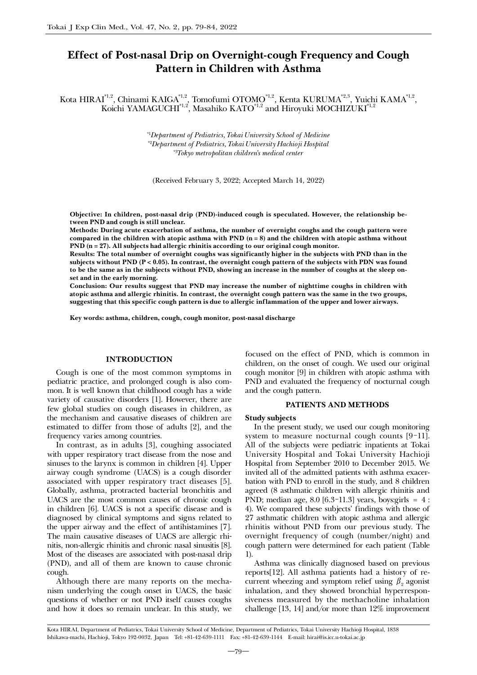# Effect of Post-nasal Drip on Overnight-cough Frequency and Cough Pattern in Children with Asthma

Kota HIRAI $^{*1,2}$ , Chinami KAIGA $^{*1,2}$ , Tomofumi OTOMO $^{*1,2}$ , Kenta KURUMA $^{*2,3}$ , Yuichi KAMA $^{*1,2}$ , Koichi YAMAGUCHI $^{\ast_{1,2}}$ , Masahiko KATO $^{\ast_{1,2}}$  and Hiroyuki MOCHIZUKI $^{\ast_{1,2}}$ 

> *\**1 *Department of Pediatrics, Tokai University School of Medicine \**2 *Department of Pediatrics, Tokai University Hachioji Hospital \**3 *Tokyo metropolitan children's medical center*

(Received February 3, 2022; Accepted March 14, 2022)

Objective: In children, post-nasal drip (PND)-induced cough is speculated. However, the relationship between PND and cough is still unclear.

Methods: During acute exacerbation of asthma, the number of overnight coughs and the cough pattern were compared in the children with atopic asthma with PND  $(n = 8)$  and the children with atopic asthma without PND (n = 27). All subjects had allergic rhinitis according to our original cough monitor.

Results: The total number of overnight coughs was significantly higher in the subjects with PND than in the subjects without PND ( $P < 0.05$ ). In contrast, the overnight cough pattern of the subjects with PDN was found to be the same as in the subjects without PND, showing an increase in the number of coughs at the sleep onset and in the early morning.

Conclusion: Our results suggest that PND may increase the number of nighttime coughs in children with atopic asthma and allergic rhinitis. In contrast, the overnight cough pattern was the same in the two groups, suggesting that this specific cough pattern is due to allergic inflammation of the upper and lower airways.

Key words: asthma, children, cough, cough monitor, post-nasal discharge

## INTRODUCTION

Cough is one of the most common symptoms in pediatric practice, and prolonged cough is also common. It is well known that childhood cough has a wide variety of causative disorders [1]. However, there are few global studies on cough diseases in children, as the mechanism and causative diseases of children are estimated to differ from those of adults [2], and the frequency varies among countries.

In contrast, as in adults [3], coughing associated with upper respiratory tract disease from the nose and sinuses to the larynx is common in children [4]. Upper airway cough syndrome (UACS) is a cough disorder associated with upper respiratory tract diseases [5]. Globally, asthma, protracted bacterial bronchitis and UACS are the most common causes of chronic cough in children [6]. UACS is not a specific disease and is diagnosed by clinical symptoms and signs related to the upper airway and the effect of antihistamines [7]. The main causative diseases of UACS are allergic rhinitis, non-allergic rhinitis and chronic nasal sinusitis [8]. Most of the diseases are associated with post-nasal drip (PND), and all of them are known to cause chronic cough.

Although there are many reports on the mechanism underlying the cough onset in UACS, the basic questions of whether or not PND itself causes coughs and how it does so remain unclear. In this study, we

focused on the effect of PND, which is common in children, on the onset of cough. We used our original cough monitor [9] in children with atopic asthma with PND and evaluated the frequency of nocturnal cough and the cough pattern.

## PATIENTS AND METHODS

#### Study subjects

In the present study, we used our cough monitoring system to measure nocturnal cough counts [9-11]. All of the subjects were pediatric inpatients at Tokai University Hospital and Tokai University Hachioji Hospital from September 2010 to December 2015. We invited all of the admitted patients with asthma exacerbation with PND to enroll in the study, and 8 children agreed (8 asthmatic children with allergic rhinitis and PND; median age, 8.0 [6.3-11.3] years, boys:girls = 4 : 4). We compared these subjects' findings with those of 27 asthmatic children with atopic asthma and allergic rhinitis without PND from our previous study. The overnight frequency of cough (number/night) and cough pattern were determined for each patient (Table 1).

Asthma was clinically diagnosed based on previous reports[12]. All asthma patients had a history of recurrent wheezing and symptom relief using  $\beta_2$  agonist inhalation, and they showed bronchial hyperresponsiveness measured by the methacholine inhalation challenge [13, 14] and/or more than 12% improvement

Kota HIRAI, Department of Pediatrics, Tokai University School of Medicine, Department of Pediatrics, Tokai University Hachioji Hospital, 1838 Ishikawa-machi, Hachioji, Tokyo 192-0032, Japan Tel: +81-42-639-1111 Fax: +81-42-639-1144 E-mail: hirai@is.icc.u-tokai.ac.jp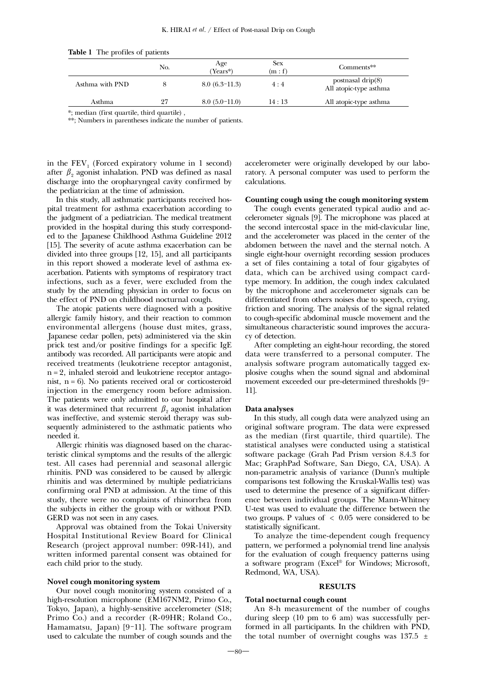| <b>rapic 1</b> The profiles of patients |     |                 |                       |                                                |
|-----------------------------------------|-----|-----------------|-----------------------|------------------------------------------------|
|                                         | No. | Age<br>Years*)  | <b>Sex</b><br>(m : f) | Comments**                                     |
| Asthma with PND                         |     | $8.0(6.3-11.3)$ | 4:4                   | postnasal drip $(8)$<br>All atopic-type asthma |
| Asthma                                  | 27  | $8.0(5.0-11.0)$ | 14:13                 | All atopic-type asthma                         |

Table 1 The profiles of patients

\*; median (first quartile, third quartile) ,

\*\*; Numbers in parentheses indicate the number of patients.

in the  $FEV<sub>1</sub>$  (Forced expiratory volume in 1 second) after  $\beta$ <sub>2</sub> agonist inhalation. PND was defined as nasal discharge into the oropharyngeal cavity confirmed by the pediatrician at the time of admission.

In this study, all asthmatic participants received hospital treatment for asthma exacerbation according to the judgment of a pediatrician. The medical treatment provided in the hospital during this study corresponded to the Japanese Childhood Asthma Guideline 2012 [15]. The severity of acute asthma exacerbation can be divided into three groups [12, 15], and all participants in this report showed a moderate level of asthma exacerbation. Patients with symptoms of respiratory tract infections, such as a fever, were excluded from the study by the attending physician in order to focus on the effect of PND on childhood nocturnal cough.

The atopic patients were diagnosed with a positive allergic family history, and their reaction to common environmental allergens (house dust mites, grass, Japanese cedar pollen, pets) administered via the skin prick test and/or positive findings for a specific IgE antibody was recorded. All participants were atopic and received treatments (leukotriene receptor antagonist, n = 2, inhaled steroid and leukotriene receptor antagonist,  $n = 6$ ). No patients received oral or corticosteroid injection in the emergency room before admission. The patients were only admitted to our hospital after it was determined that recurrent  $\beta_2$  agonist inhalation was ineffective, and systemic steroid therapy was subsequently administered to the asthmatic patients who needed it.

Allergic rhinitis was diagnosed based on the characteristic clinical symptoms and the results of the allergic test. All cases had perennial and seasonal allergic rhinitis. PND was considered to be caused by allergic rhinitis and was determined by multiple pediatricians confirming oral PND at admission. At the time of this study, there were no complaints of rhinorrhea from the subjects in either the group with or without PND. GERD was not seen in any cases.

Approval was obtained from the Tokai University Hospital Institutional Review Board for Clinical Research (project approval number: 09R-141), and written informed parental consent was obtained for each child prior to the study.

## Novel cough monitoring system

Our novel cough monitoring system consisted of a high-resolution microphone (EM167NM2, Primo Co., Tokyo, Japan), a highly-sensitive accelerometer (S18; Primo Co.) and a recorder (R-09HR; Roland Co., Hamamatsu, Japan) [9-11]. The software program used to calculate the number of cough sounds and the accelerometer were originally developed by our laboratory. A personal computer was used to perform the calculations.

## Counting cough using the cough monitoring system

The cough events generated typical audio and accelerometer signals [9]. The microphone was placed at the second intercostal space in the mid-clavicular line, and the accelerometer was placed in the center of the abdomen between the navel and the sternal notch. A single eight-hour overnight recording session produces a set of files containing a total of four gigabytes of data, which can be archived using compact cardtype memory. In addition, the cough index calculated by the microphone and accelerometer signals can be differentiated from others noises due to speech, crying, friction and snoring. The analysis of the signal related to cough-specific abdominal muscle movement and the simultaneous characteristic sound improves the accuracy of detection.

After completing an eight-hour recording, the stored data were transferred to a personal computer. The analysis software program automatically tagged explosive coughs when the sound signal and abdominal movement exceeded our pre-determined thresholds [9- 11].

## Data analyses

In this study, all cough data were analyzed using an original software program. The data were expressed as the median (first quartile, third quartile). The statistical analyses were conducted using a statistical software package (Grah Pad Prism version 8.4.3 for Mac; GraphPad Software, San Diego, CA, USA). A non-parametric analysis of variance (Dunn's multiple comparisons test following the Kruskal-Wallis test) was used to determine the presence of a significant difference between individual groups. The Mann-Whitney U-test was used to evaluate the difference between the two groups. P values of  $\langle 0.05 \rangle$  were considered to be statistically significant.

To analyze the time-dependent cough frequency pattern, we performed a polynomial trend line analysis for the evaluation of cough frequency patterns using a software program (Excel® for Windows; Microsoft, Redmond, WA, USA).

#### RESULTS

## Total nocturnal cough count

An 8-h measurement of the number of coughs during sleep (10 pm to 6 am) was successfully performed in all participants. In the children with PND, the total number of overnight coughs was  $137.5 \pm$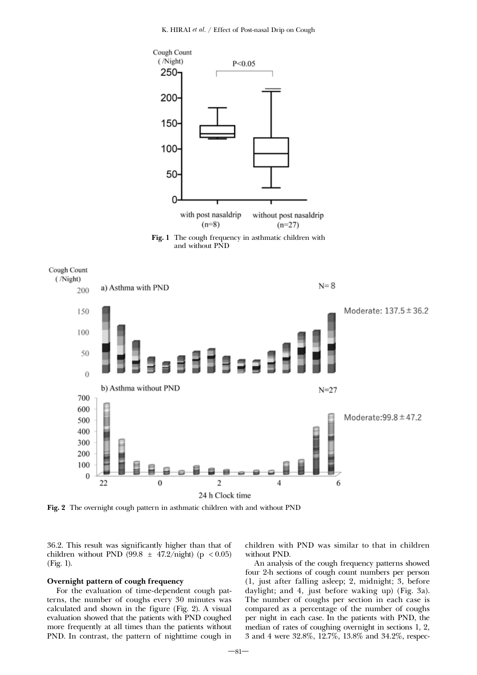

Fig. 1 The cough frequency in asthmatic children with and without PND



Fig. 2 The overnight cough pattern in asthmatic children with and without PND

36.2. This result was significantly higher than that of children without PND (99.8  $\pm$  47.2/night) (p < 0.05) (Fig. 1).

## Overnight pattern of cough frequency

For the evaluation of time-dependent cough patterns, the number of coughs every 30 minutes was calculated and shown in the figure (Fig. 2). A visual evaluation showed that the patients with PND coughed more frequently at all times than the patients without PND. In contrast, the pattern of nighttime cough in children with PND was similar to that in children without PND.

An analysis of the cough frequency patterns showed four 2-h sections of cough count numbers per person (1, just after falling asleep; 2, midnight; 3, before daylight; and 4, just before waking up) (Fig. 3a). The number of coughs per section in each case is compared as a percentage of the number of coughs per night in each case. In the patients with PND, the median of rates of coughing overnight in sections 1, 2, 3 and 4 were 32.8%, 12.7%, 13.8% and 34.2%, respec-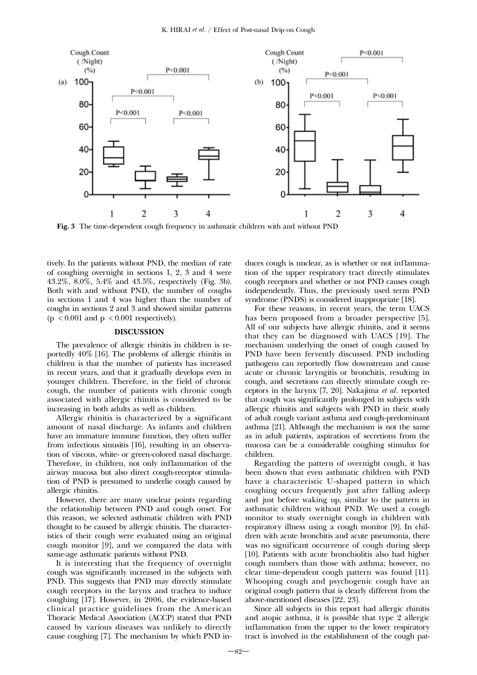

Fig. 3 The time-dependent cough frequency in asthmatic children with and without PND

tively. In the patients without PND, the median of rate of coughing overnight in sections 1, 2, 3 and 4 were 43.2%, 8.0%, 5.4% and 43.5%, respectively (Fig. 3b). Both with and without PND, the number of coughs in sections 1 and 4 was higher than the number of coughs in sections 2 and 3 and showed similar patterns  $(p < 0.001$  and  $p < 0.001$  respectively).

## **DISCUSSION**

The prevalence of allergic rhinitis in children is reportedly 40% [16]. The problems of allergic rhinitis in children is that the number of patients has increased in recent years, and that it gradually develops even in younger children. Therefore, in the field of chronic cough, the number of patients with chronic cough associated with allergic rhinitis is considered to be increasing in both adults as well as children.

Allergic rhinitis is characterized by a significant amount of nasal discharge. As infants and children have an immature immune function, they often suffer from infectious sinusitis [16], resulting in an observation of viscous, white- or green-colored nasal discharge. Therefore, in children, not only inflammation of the airway mucosa but also direct cough-receptor stimulation of PND is presumed to underlie cough caused by allergic rhinitis.

However, there are many unclear points regarding the relationship between PND and cough onset. For this reason, we selected asthmatic children with PND thought to be caused by allergic rhinitis. The characteristics of their cough were evaluated using an original cough monitor [9], and we compared the data with same-age asthmatic patients without PND.

It is interesting that the frequency of overnight cough was significantly increased in the subjects with PND. This suggests that PND may directly stimulate cough receptors in the larynx and trachea to induce coughing [17]. However, in 2006, the evidence-based clinical practice guidelines from the American Thoracic Medical Association (ACCP) stated that PND caused by various diseases was unlikely to directly cause coughing [7]. The mechanism by which PND induces cough is unclear, as is whether or not inflammation of the upper respiratory tract directly stimulates cough receptors and whether or not PND causes cough independently. Thus, the previously used term PND syndrome (PNDS) is considered inappropriate [18].

For these reasons, in recent years, the term UACS has been proposed from a broader perspective [5]. All of our subjects have allergic rhinitis, and it seems that they can be diagnosed with UACS [19]. The mechanism underlying the onset of cough caused by PND have been fervently discussed. PND including pathogens can reportedly flow downstream and cause acute or chronic laryngitis or bronchitis, resulting in cough, and secretions can directly stimulate cough receptors in the larynx [7, 20]. Nakajima *et al.* reported that cough was significantly prolonged in subjects with allergic rhinitis and subjects with PND in their study of adult cough variant asthma and cough-predominant asthma [21]. Although the mechanism is not the same as in adult patients, aspiration of secretions from the mucosa can be a considerable coughing stimulus for children.

Regarding the pattern of overnight cough, it has been shown that even asthmatic children with PND have a characteristic U-shaped pattern in which coughing occurs frequently just after falling asleep and just before waking up, similar to the pattern in asthmatic children without PND. We used a cough monitor to study overnight cough in children with respiratory illness using a cough monitor [9]. In children with acute bronchitis and acute pneumonia, there was no significant occurrence of cough during sleep [10]. Patients with acute bronchiolitis also had higher cough numbers than those with asthma; however, no clear time-dependent cough pattern was found [11]. Whooping cough and psychogenic cough have an original cough pattern that is clearly different from the above-mentioned diseases [22, 23].

Since all subjects in this report had allergic rhinitis and atopic asthma, it is possible that type 2 allergic inflammation from the upper to the lower respiratory tract is involved in the establishment of the cough pat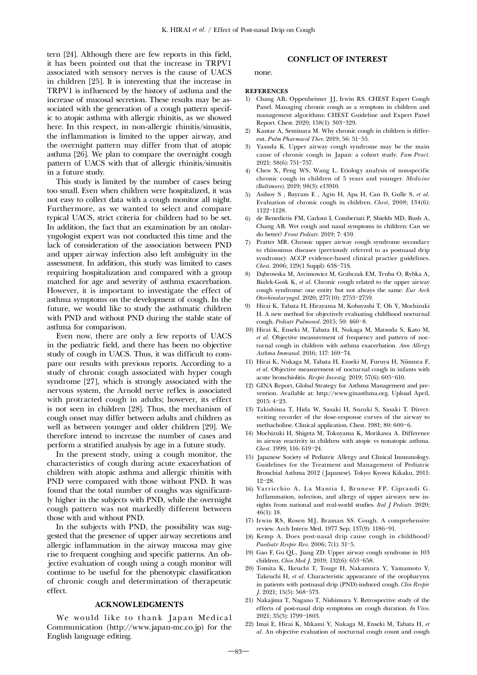tern [24]. Although there are few reports in this field, it has been pointed out that the increase in TRPV1 associated with sensory nerves is the cause of UACS in children [25]. It is interesting that the increase in TRPV1 is influenced by the history of asthma and the increase of mucosal secretion. These results may be associated with the generation of a cough pattern specific to atopic asthma with allergic rhinitis, as we showed here. In this respect, in non-allergic rhinitis/sinusitis, the inflammation is limited to the upper airway, and the overnight pattern may differ from that of atopic asthma [26]. We plan to compare the overnight cough pattern of UACS with that of allergic rhinitis/sinusitis in a future study.

This study is limited by the number of cases being too small. Even when children were hospitalized, it was not easy to collect data with a cough monitor all night. Furthermore, as we wanted to select and compare typical UACS, strict criteria for children had to be set. In addition, the fact that an examination by an otolaryngologist expert was not conducted this time and the lack of consideration of the association between PND and upper airway infection also left ambiguity in the assessment. In addition, this study was limited to cases requiring hospitalization and compared with a group matched for age and severity of asthma exacerbation. However, it is important to investigate the effect of asthma symptoms on the development of cough. In the future, we would like to study the asthmatic children with PND and without PND during the stable state of asthma for comparison.

Even now, there are only a few reports of UACS in the pediatric field, and there has been no objective study of cough in UACS. Thus, it was difficult to compare our results with previous reports. According to a study of chronic cough associated with hyper cough syndrome [27], which is strongly associated with the nervous system, the Arnold nerve reflex is associated with protracted cough in adults; however, its effect is not seen in children [28]. Thus, the mechanism of cough onset may differ between adults and children as well as between younger and older children [29]. We therefore intend to increase the number of cases and perform a stratified analysis by age in a future study.

In the present study, using a cough monitor, the characteristics of cough during acute exacerbation of children with atopic asthma and allergic rhinitis with PND were compared with those without PND. It was found that the total number of coughs was significantly higher in the subjects with PND, while the overnight cough pattern was not markedly different between those with and without PND.

In the subjects with PND, the possibility was suggested that the presence of upper airway secretions and allergic inflammation in the airway mucosa may give rise to frequent coughing and specific patterns. An objective evaluation of cough using a cough monitor will continue to be useful for the phenotypic classification of chronic cough and determination of therapeutic effect.

#### ACKNOWLEDGMENTS

We would like to thank Japan Medical Communication (http://www.japan-mc.co.jp) for the English language editing.

# CONFLICT OF INTEREST

none.

#### **REFERENCES**

- 1) Chang AB, Oppenheimer JJ, Irwin RS. CHEST Expert Cough Panel. Managing chronic cough as a symptom in children and management algorithms: CHEST Guideline and Expert Panel Report. Chest. 2020; 158(1): 303-329.
- 2) Kantar A, Seminara M. Why chronic cough in children is different. *Pulm Pharmacol Ther*. 2019; 56: 51-55.
- 3) Yasuda K. Upper airway cough syndrome may be the main cause of chronic cough in Japan: a cohort study. *Fam Pract*. 2021; 38(6): 751-757.
- 4) Chen X, Peng WS, Wang L. Etiology analysis of nonspecific chronic cough in children of 5 years and younger. *Medicine (Baltimore)*. 2019; 98(3): e13910.
- 5) Asilsoy S , Bayram E , Agin H, Apa H, Can D, Gulle S, *et al.* Evaluation of chronic cough in children. *Chest*, 2008; 134(6): 1122-1128.
- 6) de Benedictis FM, Carloni I, Comberiati P, Shields MD, Bush A, Chang AB. Wet cough and nasal symptoms in children: Can we do better? *Front Pediatr*. 2019; 7: 459.
- 7) Pratter MR. Chronic upper airway cough syndrome secondary to rhinosinus diseases (previously referred to as postnasal drip syndrome): ACCP evidence-based clinical practice guidelines. *Chest*. 2006; 129(1 Suppl): 63S-71S.
- 8) Dąbrowska M, Arcimowicz M, Grabczak EM, Truba O, Rybka A, Białek-Gosk K, *et al.* Chronic cough related to the upper airway cough syndrome: one entity but not always the same. *Eur Arch Otorhinolaryngol*. 2020; 277(10): 2753-2759.
- 9) Hirai K, Tabata H, Hirayama M, Kobayashi T, Oh Y, Mochizuki H. A new method for objectively evaluating childhood nocturnal cough. *Pediatr Pulmonol*. 2015; 50: 460-8.
- 10) Hirai K, Enseki M, Tabata H, Nukaga M, Matsuda S, Kato M, *et al.* Objective measurement of frequency and pattern of nocturnal cough in children with asthma exacerbation. *Ann Allergy Asthma Immunol*. 2016; 117: 169-74.
- 11) Hirai K, Nukaga M, Tabata H, Enseki M, Furuya H, Niimura F, *et al.* Objective measurement of nocturnal cough in infants with acute bronchiolitis. *Respir Investig.* 2019; 57(6): 605-610.
- 12) GINA Report, Global Strategy for Asthma Management and prevention. Available at: http://www.ginasthma.org. Upload April, 2015: 4-23.
- 13) Takishima T, Hida W, Sasaki H, Suzuki S, Sasaki T. Directwriting recorder of the dose-response curves of the airway to methacholine. Clinical application. Chest. 1981; 80: 600-6.
- 14) Mochizuki H, Shigeta M, Tokuyama K, Morikawa A. Difference in airway reactivity in children with atopic vs nonatopic asthma. *Chest*. 1999; 116: 619-24.
- 15) Japanese Society of Pediatric Allergy and Clinical Immunology. Guidelines for the Treatment and Management of Pediatric Bronchial Asthma 2012 (Japanese). Tokyo: Kyowa Kikaku, 2011: 12-28.
- 16) Varricchio A, La Mantia I, Brunese FP, Ciprandi G. Inflammation, infection, and allergy of upper airways: new insights from national and real-world studies. *Ital J Pediatr*. 2020; 46(1): 18.
- 17) Irwin RS, Rosen MJ, Braman SS. Cough. A comprehensive review. Arch Intern Med. 1977 Sep; 137(9): 1186-91.
- 18) Kemp A. Does post-nasal drip cause cough in childhood? *Paediatr Respir Rev*. 2006; 7(1): 31-5.
- 19) Gao F, Gu QL, Jiang ZD. Upper airway cough syndrome in 103 children. *Chin Med J*. 2019; 132(6): 653-658.
- 20) Tomita K, Ikeuchi T, Touge H, Nakamura Y, Yamamoto Y, Takeuchi H, *et al.* Characteristic appearance of the oropharynx in patients with postnasal drip (PND)-induced cough. *Clin Respir J*. 2021; 15(5): 568-573.
- 21) Nakajima T, Nagano T, Nishimura Y. Retrospective study of the effects of post-nasal drip symptoms on cough duration. *In Vivo*. 2021; 35(3): 1799-1803.
- 22) Imai E, Hirai K, Mikami Y, Nukaga M, Enseki M, Tabata H, *et al.* An objective evaluation of nocturnal cough count and cough